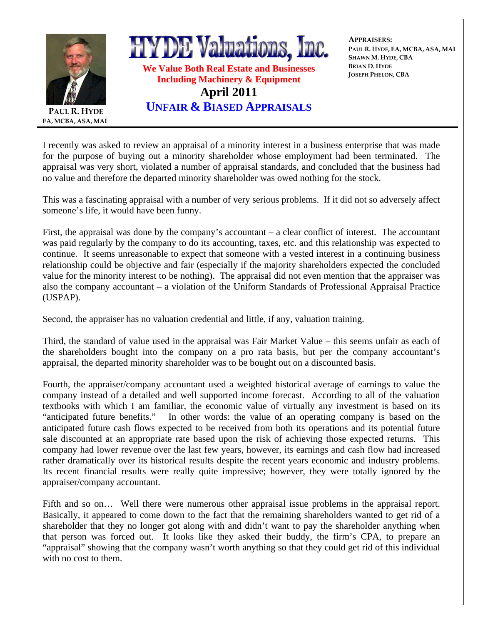

I recently was asked to review an appraisal of a minority interest in a business enterprise that was made for the purpose of buying out a minority shareholder whose employment had been terminated. The appraisal was very short, violated a number of appraisal standards, and concluded that the business had no value and therefore the departed minority shareholder was owed nothing for the stock.

This was a fascinating appraisal with a number of very serious problems. If it did not so adversely affect someone's life, it would have been funny.

First, the appraisal was done by the company's accountant – a clear conflict of interest. The accountant was paid regularly by the company to do its accounting, taxes, etc. and this relationship was expected to continue. It seems unreasonable to expect that someone with a vested interest in a continuing business relationship could be objective and fair (especially if the majority shareholders expected the concluded value for the minority interest to be nothing). The appraisal did not even mention that the appraiser was also the company accountant – a violation of the Uniform Standards of Professional Appraisal Practice (USPAP).

Second, the appraiser has no valuation credential and little, if any, valuation training.

Third, the standard of value used in the appraisal was Fair Market Value – this seems unfair as each of the shareholders bought into the company on a pro rata basis, but per the company accountant's appraisal, the departed minority shareholder was to be bought out on a discounted basis.

Fourth, the appraiser/company accountant used a weighted historical average of earnings to value the company instead of a detailed and well supported income forecast. According to all of the valuation textbooks with which I am familiar, the economic value of virtually any investment is based on its "anticipated future benefits." In other words: the value of an operating company is based on the anticipated future cash flows expected to be received from both its operations and its potential future sale discounted at an appropriate rate based upon the risk of achieving those expected returns. This company had lower revenue over the last few years, however, its earnings and cash flow had increased rather dramatically over its historical results despite the recent years economic and industry problems. Its recent financial results were really quite impressive; however, they were totally ignored by the appraiser/company accountant.

Fifth and so on… Well there were numerous other appraisal issue problems in the appraisal report. Basically, it appeared to come down to the fact that the remaining shareholders wanted to get rid of a shareholder that they no longer got along with and didn't want to pay the shareholder anything when that person was forced out. It looks like they asked their buddy, the firm's CPA, to prepare an "appraisal" showing that the company wasn't worth anything so that they could get rid of this individual with no cost to them.